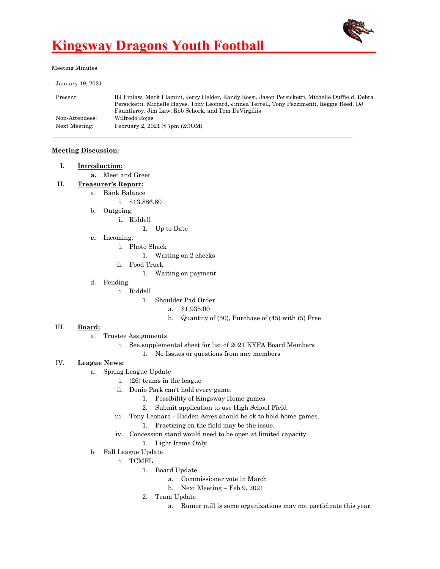

Meeting Minutes

| January 19, 2021 |                                                                                                 |
|------------------|-------------------------------------------------------------------------------------------------|
| Present:         | RJ Finlaw, Mark Flamini, Jerry Helder, Randy Rossi, Jason Persicketti, Michelle Duffield, Debra |
|                  | Persicketti, Michelle Hayes, Tony Leonard, Jinnea Terrell, Tony Pezzimenti, Reggie Reed, DJ     |
|                  | Fauntleroy, Jim Law, Rob Schork, and Tom DeVirgiliis                                            |
| Non-Attendees:   | Wilfredo Rojas                                                                                  |
| Next Meeting:    | February 2, $2021@7$ pm (ZOOM)                                                                  |
|                  |                                                                                                 |

#### **Meeting Discussion:**

**a.** Meet and Greet

- **II. Treasurer's Report:**
	- a. Bank Balance
		- i. \$13,886.80
		- b. Outgoing:
			- **i.** Riddell

**1.** Up to Date

- **c.** Incoming:
	- i. Photo Shack
		- 1. Waiting on 2 checks
	- ii. Food Truck
		- 1. Waiting on payment
- d. Pending:
	- i. Riddell
		- 1. Shoulder Pad Order
			- a. \$1,935.00
			- b. Quantity of (50), Purchase of (45) with (5) Free

#### III. **Board:**

- a. Trustee Assignments
	- i. See supplemental sheet for list of 2021 KYFA Board Members
		- 1. No Issues or questions from any members

#### IV. **League News:**

- a. Spring League Update
	- i. (26) teams in the league
	- ii. Donio Park can't hold every game.
		- 1. Possibility of Kingsway Home games
		- 2. Submit application to use High School Field
	- iii. Tony Leonard Hidden Acres should be ok to hold home games.
		- 1. Practicing on the field may be the issue.
	- iv. Concession stand would need to be open at limited capacity.
		- 1. Light Items Only
- b. Fall League Update
	- i. TCMFL
		- 1. Board Update
			- a. Commissioner vote in March
			- b. Next Meeting Feb 9, 2021
		- 2. Team Update
			- a. Rumor mill is some organizations may not participate this year.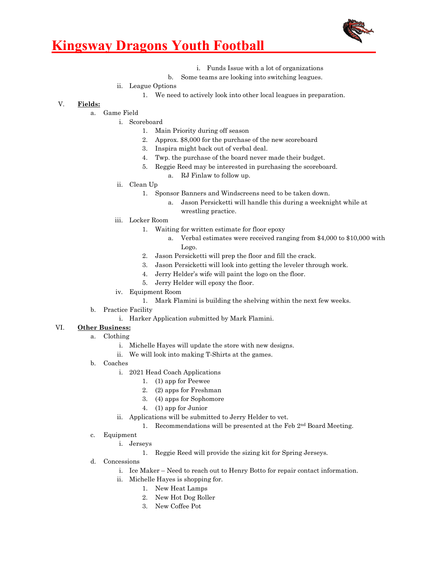

- i. Funds Issue with a lot of organizations
- b. Some teams are looking into switching leagues.
- ii. League Options
	- 1. We need to actively look into other local leagues in preparation.

#### V. **Fields:**

- a. Game Field
	- i. Scoreboard
		- 1. Main Priority during off season
		- 2. Approx. \$8,000 for the purchase of the new scoreboard
		- 3. Inspira might back out of verbal deal.
		- 4. Twp. the purchase of the board never made their budget.
		- 5. Reggie Reed may be interested in purchasing the scoreboard.
			- a. RJ Finlaw to follow up.
	- ii. Clean Up
		- 1. Sponsor Banners and Windscreens need to be taken down.
			- a. Jason Persicketti will handle this during a weeknight while at wrestling practice.
	- iii. Locker Room
		- 1. Waiting for written estimate for floor epoxy
			- a. Verbal estimates were received ranging from \$4,000 to \$10,000 with Logo.
		- 2. Jason Persicketti will prep the floor and fill the crack.
		- 3. Jason Persicketti will look into getting the leveler through work.
		- 4. Jerry Helder's wife will paint the logo on the floor.
		- 5. Jerry Helder will epoxy the floor.
	- iv. Equipment Room
		- 1. Mark Flamini is building the shelving within the next few weeks.
- b. Practice Facility
	- i. Harker Application submitted by Mark Flamini.

#### VI. **Other Business:**

- a. Clothing
	- i. Michelle Hayes will update the store with new designs.
	- ii. We will look into making T-Shirts at the games.
- b. Coaches
	- i. 2021 Head Coach Applications
		- 1. (1) app for Peewee
		- 2. (2) apps for Freshman
		- 3. (4) apps for Sophomore
		- 4. (1) app for Junior
	- ii. Applications will be submitted to Jerry Helder to vet.
		- 1. Recommendations will be presented at the Feb  $2<sup>nd</sup>$  Board Meeting.
- c. Equipment
	- i. Jerseys
		- 1. Reggie Reed will provide the sizing kit for Spring Jerseys.
- d. Concessions
	- i. Ice Maker Need to reach out to Henry Botto for repair contact information.
	- ii. Michelle Hayes is shopping for.
		- 1. New Heat Lamps
		- 2. New Hot Dog Roller
		- 3. New Coffee Pot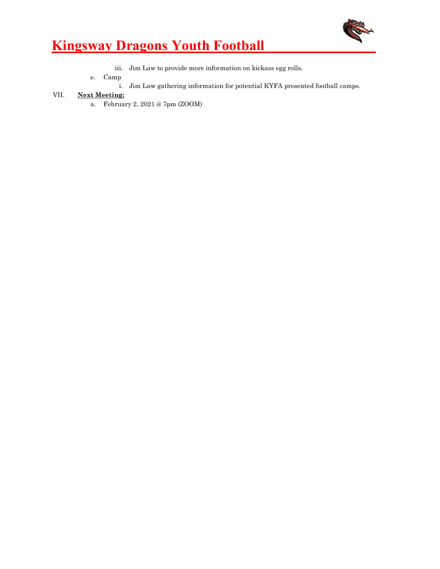

- iii. Jim Law to provide more information on kickass egg rolls.
- e. Camp
	- i. Jim Law gathering information for potential KYFA presented football camps.

#### VII. **Next Meeting:**

a. February 2, 2021 @ 7pm (ZOOM)